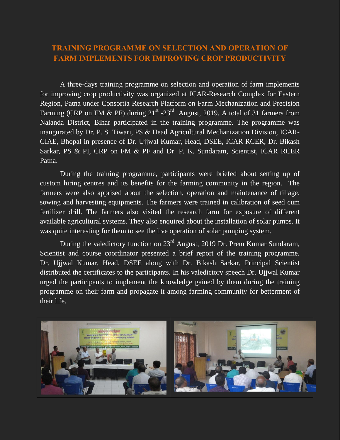## **TRAINING PROGRAMME ON SELECTION AND OPERATION OF FARM IMPLEMENTS FOR IMPROVING CROP PRODUCTIVITY**

A three-days training programme on selection and operation of farm implements for improving crop productivity was organized at ICAR-Research Complex for Eastern Region, Patna under Consortia Research Platform on Farm Mechanization and Precision Farming (CRP on FM & PF) during  $21^{st}$  -23<sup>rd</sup> August, 2019. A total of 31 farmers from Nalanda District, Bihar participated in the training programme. The programme was inaugurated by Dr. P. S. Tiwari, PS & Head Agricultural Mechanization Division, ICAR-CIAE, Bhopal in presence of Dr. Ujjwal Kumar, Head, DSEE, ICAR RCER, Dr. Bikash Sarkar, PS & PI, CRP on FM & PF and Dr. P. K. Sundaram, Scientist, ICAR RCER Patna.

During the training programme, participants were briefed about setting up of custom hiring centres and its benefits for the farming community in the region. The farmers were also apprised about the selection, operation and maintenance of tillage, sowing and harvesting equipments. The farmers were trained in calibration of seed cum fertilizer drill. The farmers also visited the research farm for exposure of different available agricultural systems. They also enquired about the installation of solar pumps. It was quite interesting for them to see the live operation of solar pumping system.

During the valedictory function on 23rd August, 2019 Dr. Prem Kumar Sundaram, Scientist and course coordinator presented a brief report of the training programme. Dr. Ujjwal Kumar, Head, DSEE along with Dr. Bikash Sarkar, Principal Scientist distributed the certificates to the participants. In his valedictory speech Dr. Ujjwal Kumar urged the participants to implement the knowledge gained by them during the training programme on their farm and propagate it among farming community for betterment of their life.